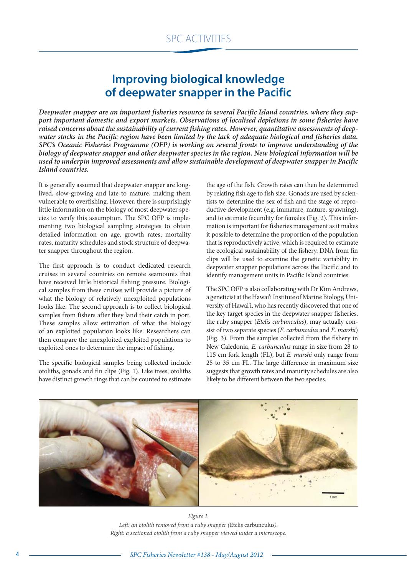## **Improving biological knowledge of deepwater snapper in the Pacific**

*Deepwater snapper are an important fisheries resource in several Pacific Island countries, where they support important domestic and export markets. Observations of localised depletions in some fisheries have raised concerns about the sustainability of current fishing rates. However, quantitative assessments of deepwater stocks in the Pacific region have been limited by the lack of adequate biological and fisheries data. SPC's Oceanic Fisheries Programme (OFP) is working on several fronts to improve understanding of the biology of deepwater snapper and other deepwater species in the region. New biological information will be used to underpin improved assessments and allow sustainable development of deepwater snapper in Pacific Island countries.*

It is generally assumed that deepwater snapper are longlived, slow-growing and late to mature, making them vulnerable to overfishing. However, there is surprisingly little information on the biology of most deepwater species to verify this assumption. The SPC OFP is implementing two biological sampling strategies to obtain detailed information on age, growth rates, mortality rates, maturity schedules and stock structure of deepwater snapper throughout the region.

The first approach is to conduct dedicated research cruises in several countries on remote seamounts that have received little historical fishing pressure. Biological samples from these cruises will provide a picture of what the biology of relatively unexploited populations looks like. The second approach is to collect biological samples from fishers after they land their catch in port. These samples allow estimation of what the biology of an exploited population looks like. Researchers can then compare the unexploited exploited populations to exploited ones to determine the impact of fishing.

The specific biological samples being collected include otoliths, gonads and fin clips (Fig. 1). Like trees, otoliths have distinct growth rings that can be counted to estimate

the age of the fish. Growth rates can then be determined by relating fish age to fish size. Gonads are used by scientists to determine the sex of fish and the stage of reproductive development (e.g. immature, mature, spawning), and to estimate fecundity for females (Fig. 2). This information is important for fisheries management as it makes it possible to determine the proportion of the population that is reproductively active, which is required to estimate the ecological sustainability of the fishery. DNA from fin clips will be used to examine the genetic variability in deepwater snapper populations across the Pacific and to identify management units in Pacific Island countries.

The SPC OFP is also collaborating with Dr Kim Andrews, a geneticist at the Hawai'i Institute of Marine Biology, University of Hawai'i, who has recently discovered that one of the key target species in the deepwater snapper fisheries, the ruby snapper (*Etelis carbunculus*), may actually consist of two separate species (*E. carbunculus* and *E. marshi*) (Fig. 3). From the samples collected from the fishery in New Caledonia, *E. carbunculus* range in size from 28 to 115 cm fork length (FL), but *E. marshi* only range from 25 to 35 cm FL. The large difference in maximum size suggests that growth rates and maturity schedules are also likely to be different between the two species.



*Figure 1. Left: an otolith removed from a ruby snapper (*Etelis carbunculus*). Right: a sectioned otolith from a ruby snapper viewed under a microscope.*